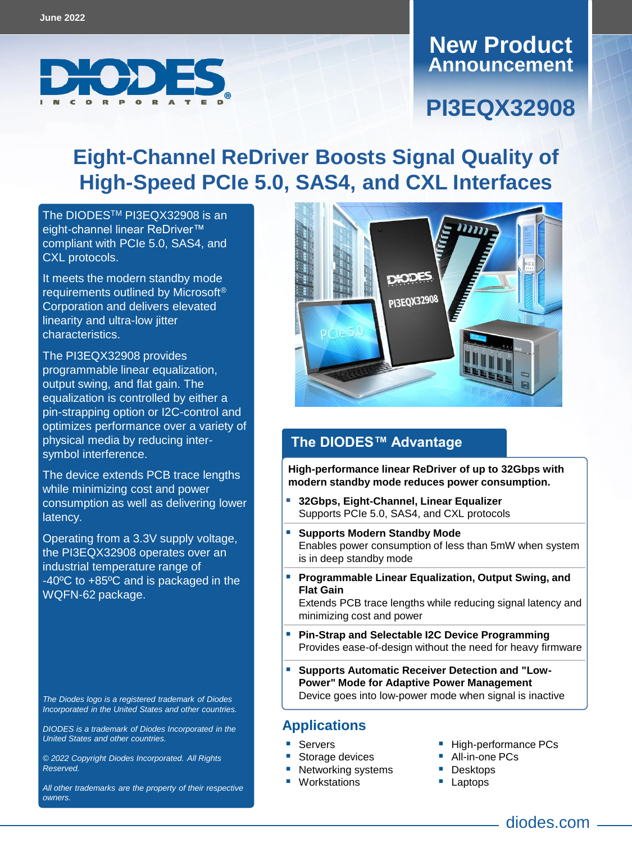

## **Announcement New Product**

## **PI3EQX32908**

# **Eight-Channel ReDriver Boosts Signal Quality of High-Speed PCIe 5.0, SAS4, and CXL Interfaces**

The DIODES<sup>™</sup> [PI3EQX32908](https://www.diodes.com/part/PI3EQX32908) is an eight-channel linear ReDriver™ compliant with PCIe 5.0, SAS4, and CXL protocols.

It meets the modern standby mode requirements outlined by Microsoft® Corporation and delivers elevated linearity and ultra-low jitter characteristics.

The PI3EQX32908 provides programmable linear equalization, output swing, and flat gain. The equalization is controlled by either a pin-strapping option or I2C-control and optimizes performance over a variety of physical media by reducing intersymbol interference.

The device extends PCB trace lengths while minimizing cost and power consumption as well as delivering lower latency.

Operating from a 3.3V supply voltage, the PI3EQX32908 operates over an industrial temperature range of -40ºC to +85ºC and is packaged in the WQFN-62 package.

*The Diodes logo is a registered trademark of Diodes Incorporated in the United States and other countries.*

*DIODES is a trademark of Diodes Incorporated in the United States and other countries.*

*© 2022 Copyright Diodes Incorporated. All Rights Reserved.*

*All other trademarks are the property of their respective owners.*



### **The DIODES™ Advantage**

**High-performance linear ReDriver of up to 32Gbps with modern standby mode reduces power consumption.**

- **32Gbps, Eight-Channel, Linear Equalizer** Supports PCIe 5.0, SAS4, and CXL protocols
- **Supports Modern Standby Mode** Enables power consumption of less than 5mW when system is in deep standby mode
- **Programmable Linear Equalization, Output Swing, and Flat Gain**

Extends PCB trace lengths while reducing signal latency and minimizing cost and power

- **Pin-Strap and Selectable I2C Device Programming** Provides ease-of-design without the need for heavy firmware
- **Supports Automatic Receiver Detection and "Low-Power" Mode for Adaptive Power Management** Device goes into low-power mode when signal is inactive

#### **Applications**

- Servers
- Storage devices
	- Networking systems
- Workstations
- High-performance PCs
- All-in-one PCs
- **Desktops**
- **Laptops** 
	- - diodes.com